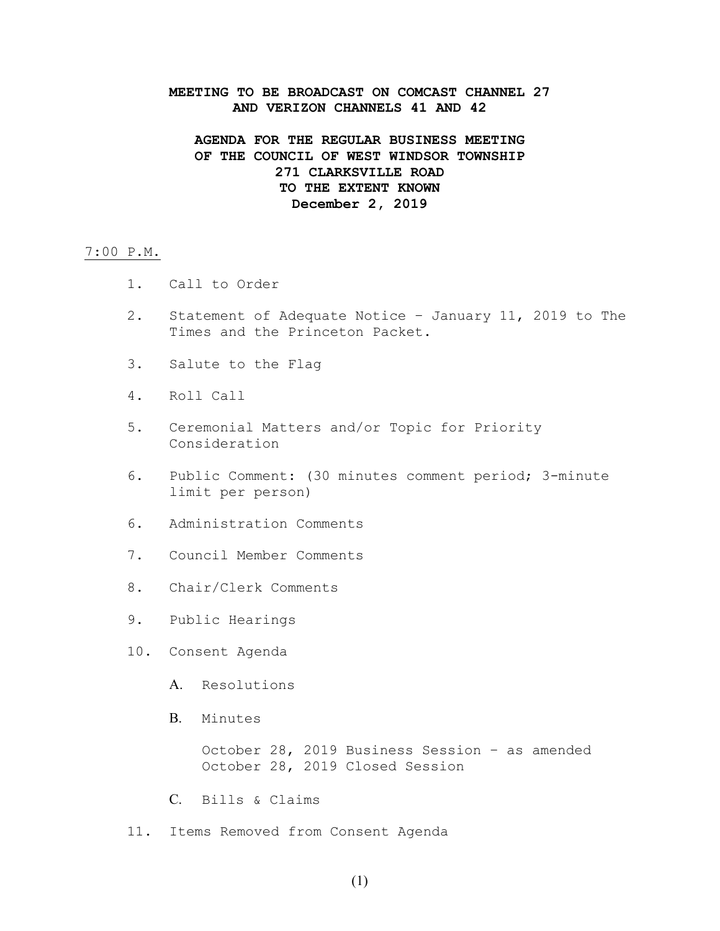#### **MEETING TO BE BROADCAST ON COMCAST CHANNEL 27 AND VERIZON CHANNELS 41 AND 42**

### **AGENDA FOR THE REGULAR BUSINESS MEETING OF THE COUNCIL OF WEST WINDSOR TOWNSHIP 271 CLARKSVILLE ROAD TO THE EXTENT KNOWN December 2, 2019**

#### 7:00 P.M.

- 1. Call to Order
- 2. Statement of Adequate Notice January 11, 2019 to The Times and the Princeton Packet.
- 3. Salute to the Flag
- 4. Roll Call
- 5. Ceremonial Matters and/or Topic for Priority Consideration
- 6. Public Comment: (30 minutes comment period; 3-minute limit per person)
- 6. Administration Comments
- 7. Council Member Comments
- 8. Chair/Clerk Comments
- 9. Public Hearings
- 10. Consent Agenda
	- A. Resolutions
	- B. Minutes

October 28, 2019 Business Session – as amended October 28, 2019 Closed Session

- C. Bills & Claims
- 11. Items Removed from Consent Agenda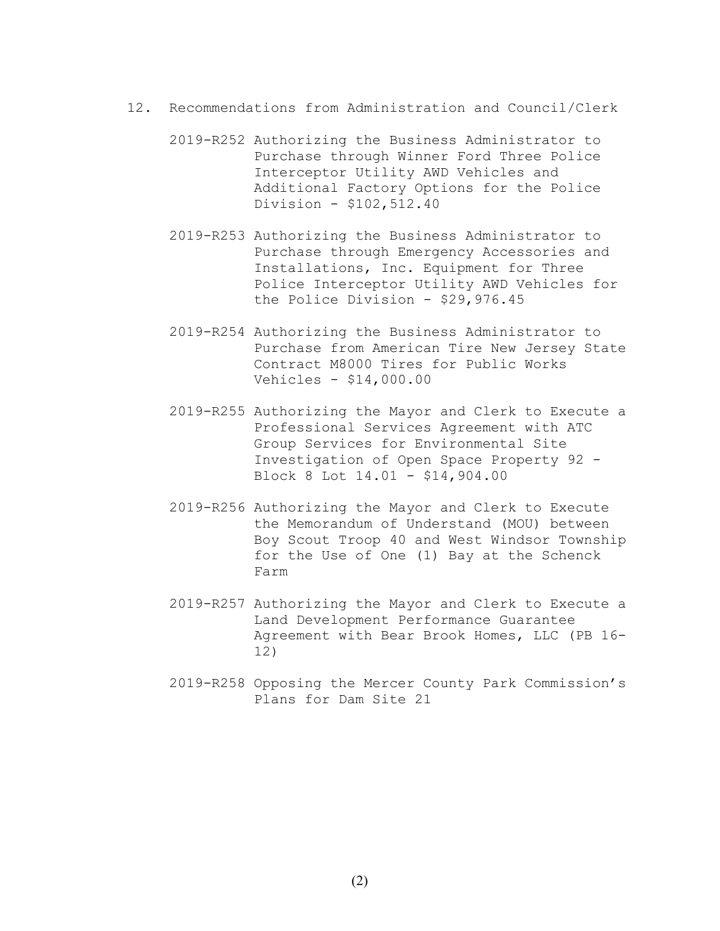- 12. Recommendations from Administration and Council/Clerk
	- 2019-R252 Authorizing the Business Administrator to Purchase through Winner Ford Three Police Interceptor Utility AWD Vehicles and Additional Factory Options for the Police Division - \$102,512.40
	- 2019-R253 Authorizing the Business Administrator to Purchase through Emergency Accessories and Installations, Inc. Equipment for Three Police Interceptor Utility AWD Vehicles for the Police Division - \$29,976.45
	- 2019-R254 Authorizing the Business Administrator to Purchase from American Tire New Jersey State Contract M8000 Tires for Public Works Vehicles - \$14,000.00
	- 2019-R255 Authorizing the Mayor and Clerk to Execute a Professional Services Agreement with ATC Group Services for Environmental Site Investigation of Open Space Property 92 - Block 8 Lot 14.01 - \$14,904.00
	- 2019-R256 Authorizing the Mayor and Clerk to Execute the Memorandum of Understand (MOU) between Boy Scout Troop 40 and West Windsor Township for the Use of One (1) Bay at the Schenck Farm
	- 2019-R257 Authorizing the Mayor and Clerk to Execute a Land Development Performance Guarantee Agreement with Bear Brook Homes, LLC (PB 16- 12)
	- 2019-R258 Opposing the Mercer County Park Commission's Plans for Dam Site 21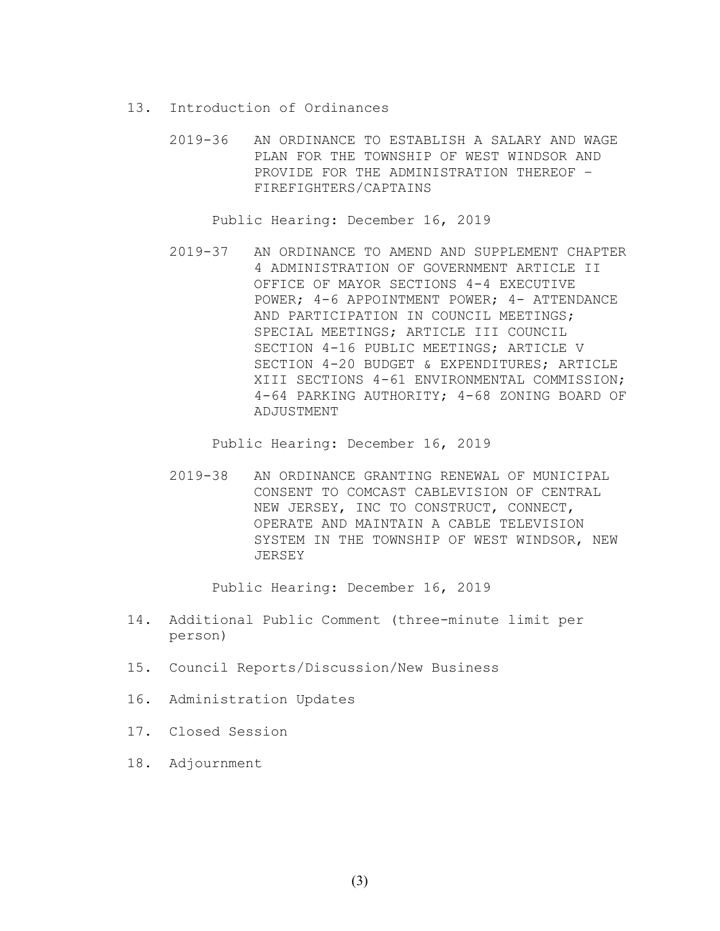- 13. Introduction of Ordinances
	- 2019-36 AN ORDINANCE TO ESTABLISH A SALARY AND WAGE PLAN FOR THE TOWNSHIP OF WEST WINDSOR AND PROVIDE FOR THE ADMINISTRATION THEREOF – FIREFIGHTERS/CAPTAINS

Public Hearing: December 16, 2019

2019-37 AN ORDINANCE TO AMEND AND SUPPLEMENT CHAPTER 4 ADMINISTRATION OF GOVERNMENT ARTICLE II OFFICE OF MAYOR SECTIONS 4-4 EXECUTIVE POWER; 4-6 APPOINTMENT POWER; 4- ATTENDANCE AND PARTICIPATION IN COUNCIL MEETINGS; SPECIAL MEETINGS; ARTICLE III COUNCIL SECTION 4-16 PUBLIC MEETINGS; ARTICLE V SECTION 4-20 BUDGET & EXPENDITURES; ARTICLE XIII SECTIONS 4-61 ENVIRONMENTAL COMMISSION; 4-64 PARKING AUTHORITY; 4-68 ZONING BOARD OF ADJUSTMENT

Public Hearing: December 16, 2019

2019-38 AN ORDINANCE GRANTING RENEWAL OF MUNICIPAL CONSENT TO COMCAST CABLEVISION OF CENTRAL NEW JERSEY, INC TO CONSTRUCT, CONNECT, OPERATE AND MAINTAIN A CABLE TELEVISION SYSTEM IN THE TOWNSHIP OF WEST WINDSOR, NEW JERSEY

Public Hearing: December 16, 2019

- 14. Additional Public Comment (three-minute limit per person)
- 15. Council Reports/Discussion/New Business
- 16. Administration Updates
- 17. Closed Session
- 18. Adjournment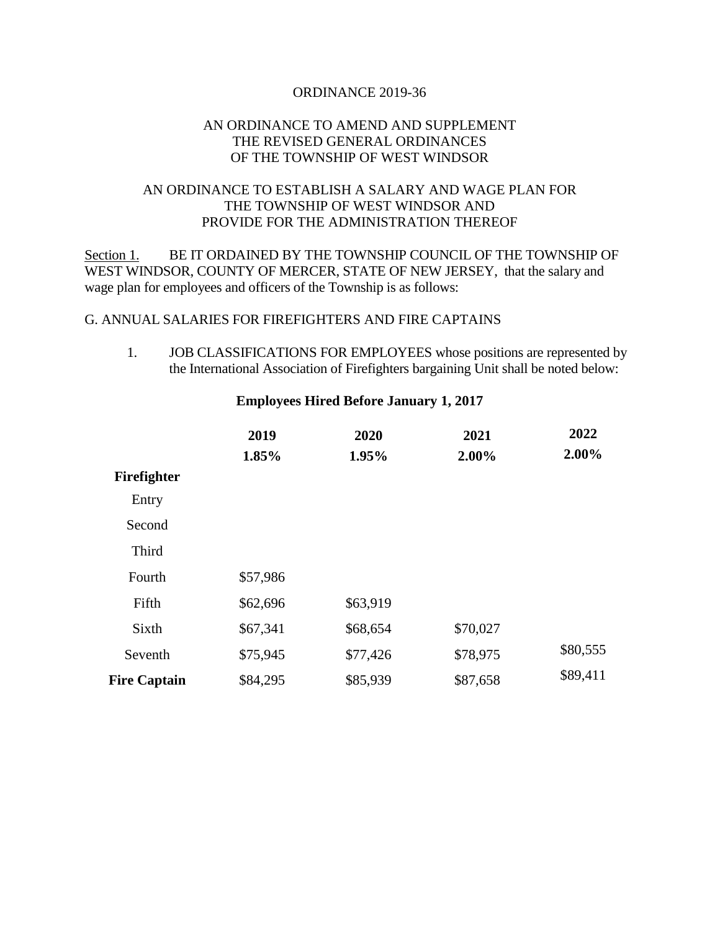#### ORDINANCE 2019-36

### AN ORDINANCE TO AMEND AND SUPPLEMENT THE REVISED GENERAL ORDINANCES OF THE TOWNSHIP OF WEST WINDSOR

### AN ORDINANCE TO ESTABLISH A SALARY AND WAGE PLAN FOR THE TOWNSHIP OF WEST WINDSOR AND PROVIDE FOR THE ADMINISTRATION THEREOF

Section 1. BE IT ORDAINED BY THE TOWNSHIP COUNCIL OF THE TOWNSHIP OF WEST WINDSOR, COUNTY OF MERCER, STATE OF NEW JERSEY, that the salary and wage plan for employees and officers of the Township is as follows:

### G. ANNUAL SALARIES FOR FIREFIGHTERS AND FIRE CAPTAINS

1. JOB CLASSIFICATIONS FOR EMPLOYEES whose positions are represented by the International Association of Firefighters bargaining Unit shall be noted below:

|                     | 2019<br>1.85% | 2020<br>1.95% | 2021<br>2.00% | 2022<br>2.00% |
|---------------------|---------------|---------------|---------------|---------------|
|                     |               |               |               |               |
| Firefighter         |               |               |               |               |
| Entry               |               |               |               |               |
| Second              |               |               |               |               |
| Third               |               |               |               |               |
| Fourth              | \$57,986      |               |               |               |
| Fifth               | \$62,696      | \$63,919      |               |               |
| Sixth               | \$67,341      | \$68,654      | \$70,027      |               |
| Seventh             | \$75,945      | \$77,426      | \$78,975      | \$80,555      |
| <b>Fire Captain</b> | \$84,295      | \$85,939      | \$87,658      | \$89,411      |

#### **Employees Hired Before January 1, 2017**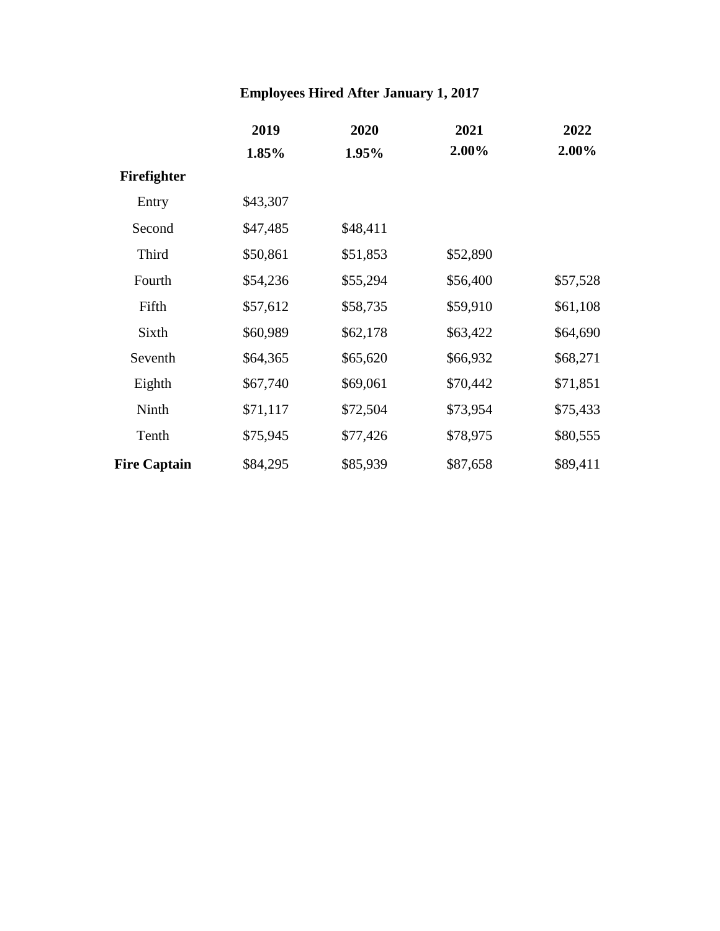# **Employees Hired After January 1, 2017**

|                     | 2019     | 2020     | 2021     | 2022     |
|---------------------|----------|----------|----------|----------|
|                     | 1.85%    | 1.95%    | 2.00%    | 2.00%    |
| Firefighter         |          |          |          |          |
| Entry               | \$43,307 |          |          |          |
| Second              | \$47,485 | \$48,411 |          |          |
| Third               | \$50,861 | \$51,853 | \$52,890 |          |
| Fourth              | \$54,236 | \$55,294 | \$56,400 | \$57,528 |
| Fifth               | \$57,612 | \$58,735 | \$59,910 | \$61,108 |
| Sixth               | \$60,989 | \$62,178 | \$63,422 | \$64,690 |
| Seventh             | \$64,365 | \$65,620 | \$66,932 | \$68,271 |
| Eighth              | \$67,740 | \$69,061 | \$70,442 | \$71,851 |
| Ninth               | \$71,117 | \$72,504 | \$73,954 | \$75,433 |
| Tenth               | \$75,945 | \$77,426 | \$78,975 | \$80,555 |
| <b>Fire Captain</b> | \$84,295 | \$85,939 | \$87,658 | \$89,411 |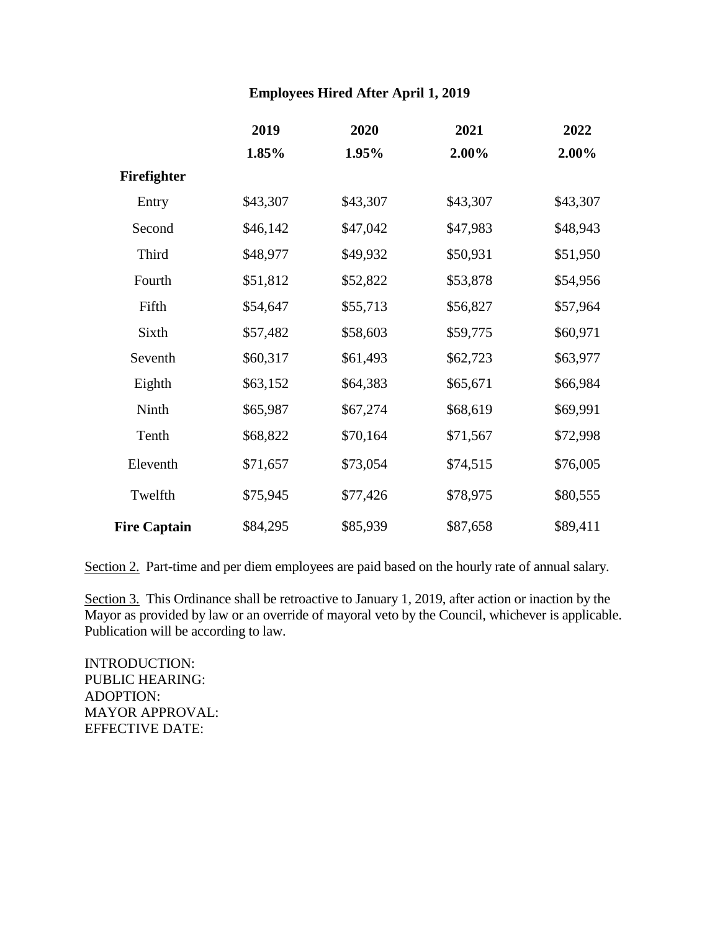### **Employees Hired After April 1, 2019**

|                     | 2019     | 2020     | 2021     | 2022     |
|---------------------|----------|----------|----------|----------|
|                     | 1.85%    | 1.95%    | 2.00%    | 2.00%    |
| Firefighter         |          |          |          |          |
| Entry               | \$43,307 | \$43,307 | \$43,307 | \$43,307 |
| Second              | \$46,142 | \$47,042 | \$47,983 | \$48,943 |
| Third               | \$48,977 | \$49,932 | \$50,931 | \$51,950 |
| Fourth              | \$51,812 | \$52,822 | \$53,878 | \$54,956 |
| Fifth               | \$54,647 | \$55,713 | \$56,827 | \$57,964 |
| Sixth               | \$57,482 | \$58,603 | \$59,775 | \$60,971 |
| Seventh             | \$60,317 | \$61,493 | \$62,723 | \$63,977 |
| Eighth              | \$63,152 | \$64,383 | \$65,671 | \$66,984 |
| Ninth               | \$65,987 | \$67,274 | \$68,619 | \$69,991 |
| Tenth               | \$68,822 | \$70,164 | \$71,567 | \$72,998 |
| Eleventh            | \$71,657 | \$73,054 | \$74,515 | \$76,005 |
| Twelfth             | \$75,945 | \$77,426 | \$78,975 | \$80,555 |
| <b>Fire Captain</b> | \$84,295 | \$85,939 | \$87,658 | \$89,411 |

Section 2. Part-time and per diem employees are paid based on the hourly rate of annual salary.

Section 3. This Ordinance shall be retroactive to January 1, 2019, after action or inaction by the Mayor as provided by law or an override of mayoral veto by the Council, whichever is applicable. Publication will be according to law.

INTRODUCTION: PUBLIC HEARING: ADOPTION: MAYOR APPROVAL: EFFECTIVE DATE: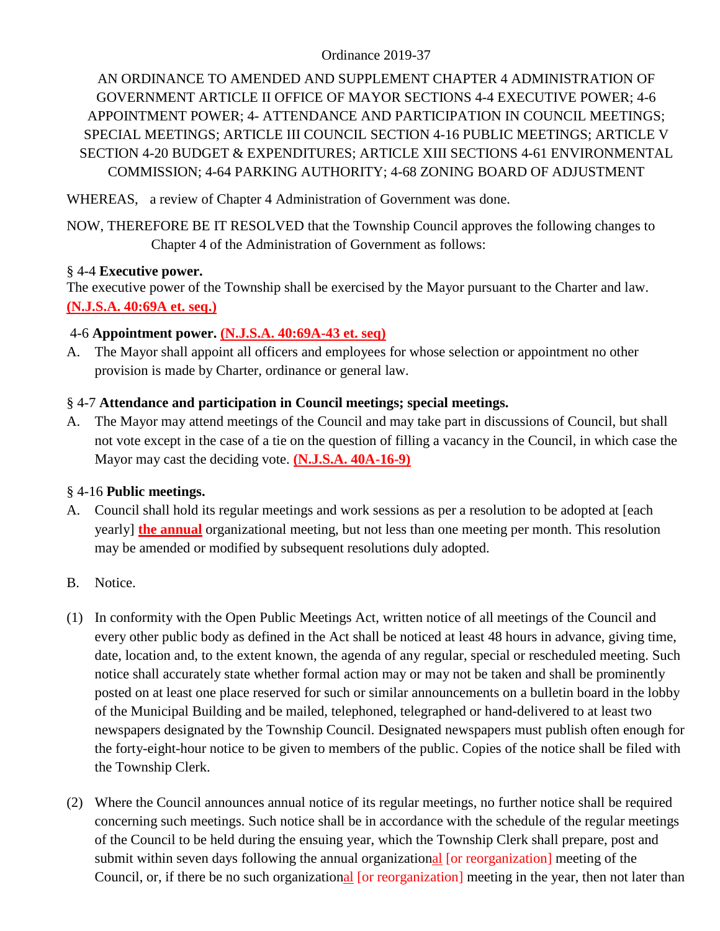### Ordinance 2019-37

AN ORDINANCE TO AMENDED AND SUPPLEMENT CHAPTER 4 ADMINISTRATION OF GOVERNMENT ARTICLE II OFFICE OF MAYOR SECTIONS 4-4 EXECUTIVE POWER; 4-6 APPOINTMENT POWER; 4- ATTENDANCE AND PARTICIPATION IN COUNCIL MEETINGS; SPECIAL MEETINGS; ARTICLE III COUNCIL SECTION 4-16 PUBLIC MEETINGS; ARTICLE V SECTION 4-20 BUDGET & EXPENDITURES; ARTICLE XIII SECTIONS 4-61 ENVIRONMENTAL COMMISSION; 4-64 PARKING AUTHORITY; 4-68 ZONING BOARD OF ADJUSTMENT

WHEREAS, a review of Chapter 4 Administration of Government was done.

NOW, THEREFORE BE IT RESOLVED that the Township Council approves the following changes to Chapter 4 of the Administration of Government as follows:

### § 4-4 **Executive power.**

The executive power of the Township shall be exercised by the Mayor pursuant to the Charter and law. **(N.J.S.A. 40:69A et. seq.)**

### 4-6 **Appointment power. (N.J.S.A. 40:69A-43 et. seq)**

A. The Mayor shall appoint all officers and employees for whose selection or appointment no other provision is made by Charter, ordinance or general law.

### § 4-7 **Attendance and participation in Council meetings; special meetings.**

A. The Mayor may attend meetings of the Council and may take part in discussions of Council, but shall not vote except in the case of a tie on the question of filling a vacancy in the Council, in which case the Mayor may cast the deciding vote. **(N.J.S.A. 40A-16-9)**

### § 4-16 **Public meetings.**

- A. Council shall hold its regular meetings and work sessions as per a resolution to be adopted at [each yearly] **the annual** organizational meeting, but not less than one meeting per month. This resolution may be amended or modified by subsequent resolutions duly adopted.
- B. Notice.
- (1) In conformity with the Open Public Meetings Act, written notice of all meetings of the Council and every other public body as defined in the Act shall be noticed at least 48 hours in advance, giving time, date, location and, to the extent known, the agenda of any regular, special or rescheduled meeting. Such notice shall accurately state whether formal action may or may not be taken and shall be prominently posted on at least one place reserved for such or similar announcements on a bulletin board in the lobby of the Municipal Building and be mailed, telephoned, telegraphed or hand-delivered to at least two newspapers designated by the Township Council. Designated newspapers must publish often enough for the forty-eight-hour notice to be given to members of the public. Copies of the notice shall be filed with the Township Clerk.
- (2) Where the Council announces annual notice of its regular meetings, no further notice shall be required concerning such meetings. Such notice shall be in accordance with the schedule of the regular meetings of the Council to be held during the ensuing year, which the Township Clerk shall prepare, post and submit within seven days following the annual organizational [or reorganization] meeting of the Council, or, if there be no such organizational [or reorganization] meeting in the year, then not later than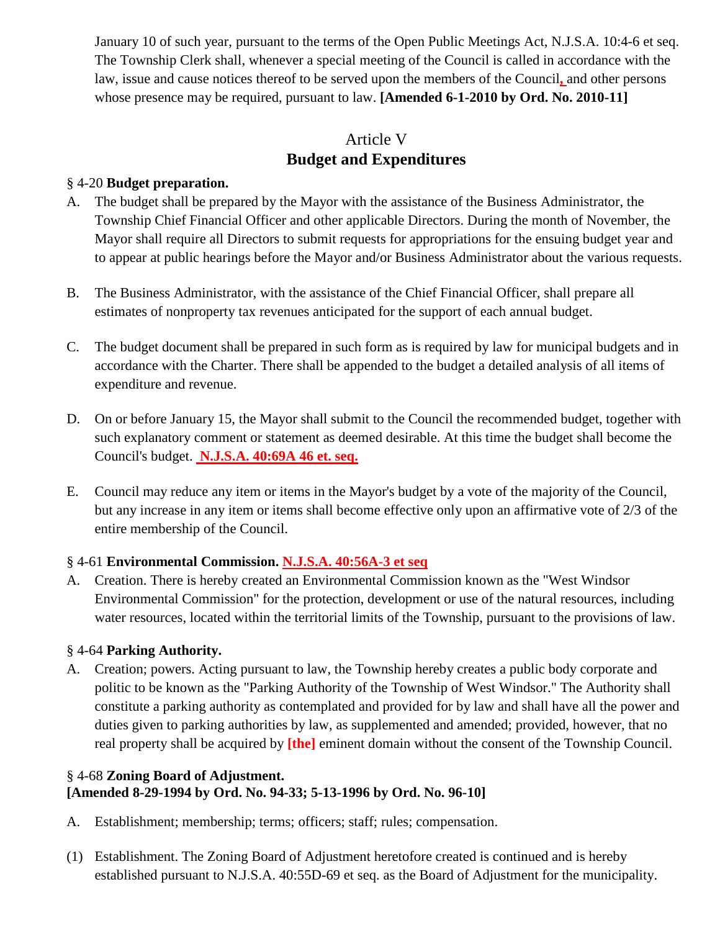January 10 of such year, pursuant to the terms of the Open Public Meetings Act, N.J.S.A. 10:4-6 et seq. The Township Clerk shall, whenever a special meeting of the Council is called in accordance with the law, issue and cause notices thereof to be served upon the members of the Council**,** and other persons whose presence may be required, pursuant to law. **[Amended 6-1-2010 by Ord. No. 2010-11]**

## Article V **Budget and Expenditures**

### § 4-20 **Budget preparation.**

- A. The budget shall be prepared by the Mayor with the assistance of the Business Administrator, the Township Chief Financial Officer and other applicable Directors. During the month of November, the Mayor shall require all Directors to submit requests for appropriations for the ensuing budget year and to appear at public hearings before the Mayor and/or Business Administrator about the various requests.
- B. The Business Administrator, with the assistance of the Chief Financial Officer, shall prepare all estimates of nonproperty tax revenues anticipated for the support of each annual budget.
- C. The budget document shall be prepared in such form as is required by law for municipal budgets and in accordance with the Charter. There shall be appended to the budget a detailed analysis of all items of expenditure and revenue.
- D. On or before January 15, the Mayor shall submit to the Council the recommended budget, together with such explanatory comment or statement as deemed desirable. At this time the budget shall become the Council's budget. **N.J.S.A. 40:69A 46 et. seq.**
- E. Council may reduce any item or items in the Mayor's budget by a vote of the majority of the Council, but any increase in any item or items shall become effective only upon an affirmative vote of 2/3 of the entire membership of the Council.

### § 4-61 **Environmental Commission. N.J.S.A. 40:56A-3 et seq**

A. Creation. There is hereby created an Environmental Commission known as the "West Windsor Environmental Commission" for the protection, development or use of the natural resources, including water resources, located within the territorial limits of the Township, pursuant to the provisions of law.

### § 4-64 **Parking Authority.**

A. Creation; powers. Acting pursuant to law, the Township hereby creates a public body corporate and politic to be known as the "Parking Authority of the Township of West Windsor." The Authority shall constitute a parking authority as contemplated and provided for by law and shall have all the power and duties given to parking authorities by law, as supplemented and amended; provided, however, that no real property shall be acquired by **[the]** eminent domain without the consent of the Township Council.

### § 4-68 **Zoning Board of Adjustment. [Amended 8-29-1994 by Ord. No. 94-33; 5-13-1996 by Ord. No. 96-10]**

- A. Establishment; membership; terms; officers; staff; rules; compensation.
- (1) Establishment. The Zoning Board of Adjustment heretofore created is continued and is hereby established pursuant to N.J.S.A. 40:55D-69 et seq. as the Board of Adjustment for the municipality.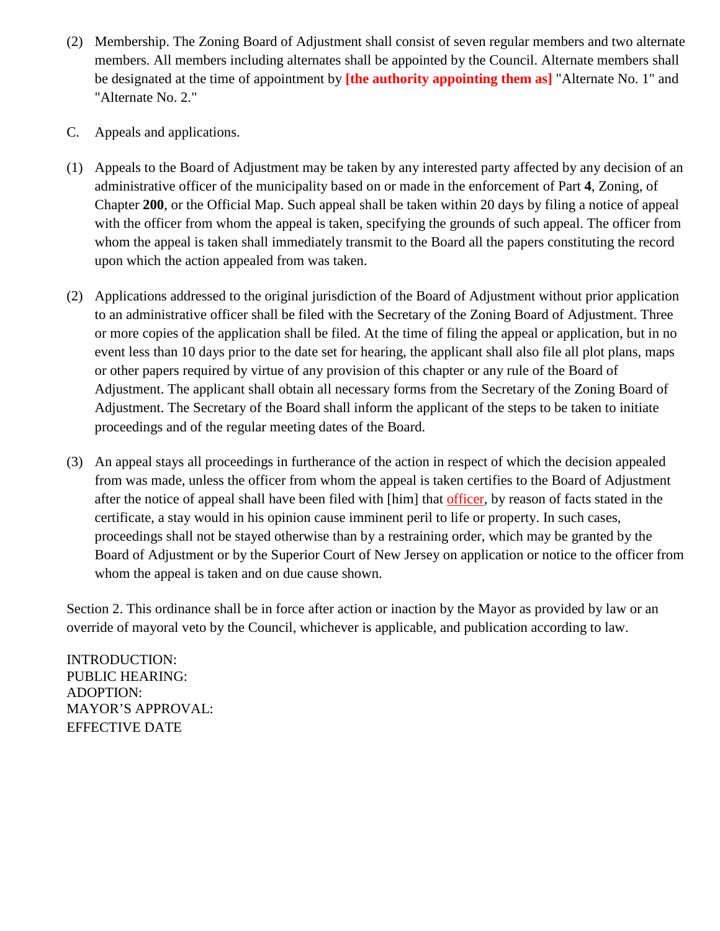- (2) Membership. The Zoning Board of Adjustment shall consist of seven regular members and two alternate members. All members including alternates shall be appointed by the Council. Alternate members shall be designated at the time of appointment by **[the authority appointing them as]** "Alternate No. 1" and "Alternate No. 2."
- C. Appeals and applications.
- (1) Appeals to the Board of Adjustment may be taken by any interested party affected by any decision of an administrative officer of the municipality based on or made in the enforcement of Part **4**, Zoning, of Chapter **200**, or the Official Map. Such appeal shall be taken within 20 days by filing a notice of appeal with the officer from whom the appeal is taken, specifying the grounds of such appeal. The officer from whom the appeal is taken shall immediately transmit to the Board all the papers constituting the record upon which the action appealed from was taken.
- (2) Applications addressed to the original jurisdiction of the Board of Adjustment without prior application to an administrative officer shall be filed with the Secretary of the Zoning Board of Adjustment. Three or more copies of the application shall be filed. At the time of filing the appeal or application, but in no event less than 10 days prior to the date set for hearing, the applicant shall also file all plot plans, maps or other papers required by virtue of any provision of this chapter or any rule of the Board of Adjustment. The applicant shall obtain all necessary forms from the Secretary of the Zoning Board of Adjustment. The Secretary of the Board shall inform the applicant of the steps to be taken to initiate proceedings and of the regular meeting dates of the Board.
- (3) An appeal stays all proceedings in furtherance of the action in respect of which the decision appealed from was made, unless the officer from whom the appeal is taken certifies to the Board of Adjustment after the notice of appeal shall have been filed with [him] that officer, by reason of facts stated in the certificate, a stay would in his opinion cause imminent peril to life or property. In such cases, proceedings shall not be stayed otherwise than by a restraining order, which may be granted by the Board of Adjustment or by the Superior Court of New Jersey on application or notice to the officer from whom the appeal is taken and on due cause shown.

Section 2. This ordinance shall be in force after action or inaction by the Mayor as provided by law or an override of mayoral veto by the Council, whichever is applicable, and publication according to law.

INTRODUCTION: PUBLIC HEARING: ADOPTION: MAYOR'S APPROVAL: EFFECTIVE DATE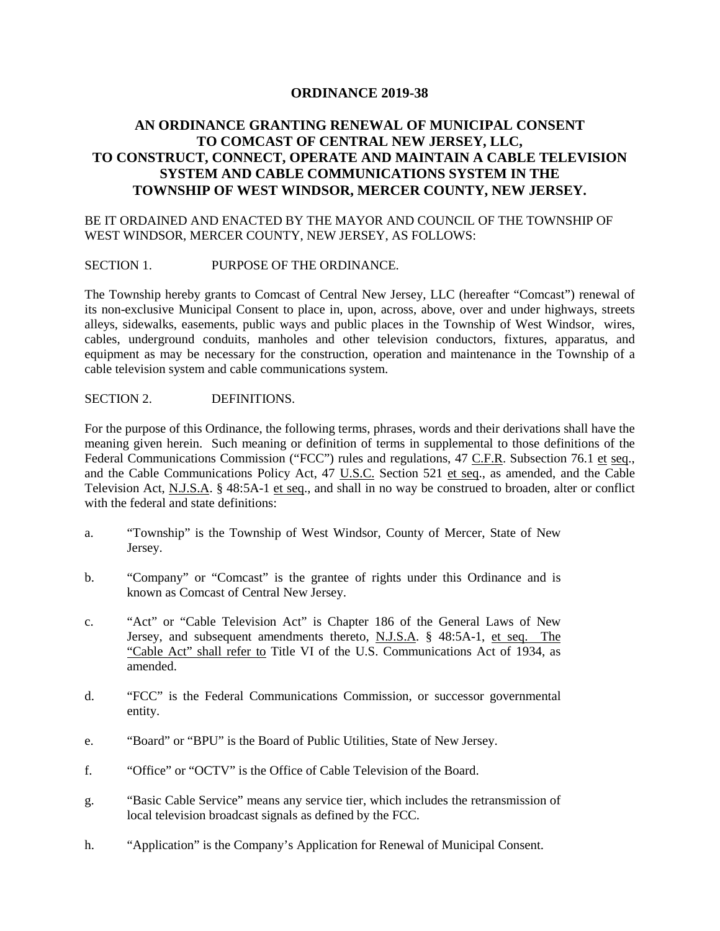#### **ORDINANCE 2019-38**

### **AN ORDINANCE GRANTING RENEWAL OF MUNICIPAL CONSENT TO COMCAST OF CENTRAL NEW JERSEY, LLC, TO CONSTRUCT, CONNECT, OPERATE AND MAINTAIN A CABLE TELEVISION SYSTEM AND CABLE COMMUNICATIONS SYSTEM IN THE TOWNSHIP OF WEST WINDSOR, MERCER COUNTY, NEW JERSEY.**

#### BE IT ORDAINED AND ENACTED BY THE MAYOR AND COUNCIL OF THE TOWNSHIP OF WEST WINDSOR, MERCER COUNTY, NEW JERSEY, AS FOLLOWS:

#### SECTION 1. PURPOSE OF THE ORDINANCE.

The Township hereby grants to Comcast of Central New Jersey, LLC (hereafter "Comcast") renewal of its non-exclusive Municipal Consent to place in, upon, across, above, over and under highways, streets alleys, sidewalks, easements, public ways and public places in the Township of West Windsor, wires, cables, underground conduits, manholes and other television conductors, fixtures, apparatus, and equipment as may be necessary for the construction, operation and maintenance in the Township of a cable television system and cable communications system.

#### SECTION 2. DEFINITIONS.

For the purpose of this Ordinance, the following terms, phrases, words and their derivations shall have the meaning given herein. Such meaning or definition of terms in supplemental to those definitions of the Federal Communications Commission ("FCC") rules and regulations, 47 C.F.R. Subsection 76.1 et seq., and the Cable Communications Policy Act, 47 U.S.C. Section 521 et seq., as amended, and the Cable Television Act, N.J.S.A. § 48:5A-1 et seq., and shall in no way be construed to broaden, alter or conflict with the federal and state definitions:

- a. "Township" is the Township of West Windsor, County of Mercer, State of New Jersey.
- b. "Company" or "Comcast" is the grantee of rights under this Ordinance and is known as Comcast of Central New Jersey.
- c. "Act" or "Cable Television Act" is Chapter 186 of the General Laws of New Jersey, and subsequent amendments thereto, N.J.S.A. § 48:5A-1, et seq. The "Cable Act" shall refer to Title VI of the U.S. Communications Act of 1934, as amended.
- d. "FCC" is the Federal Communications Commission, or successor governmental entity.
- e. "Board" or "BPU" is the Board of Public Utilities, State of New Jersey.
- f. "Office" or "OCTV" is the Office of Cable Television of the Board.
- g. "Basic Cable Service" means any service tier, which includes the retransmission of local television broadcast signals as defined by the FCC.
- h. "Application" is the Company's Application for Renewal of Municipal Consent.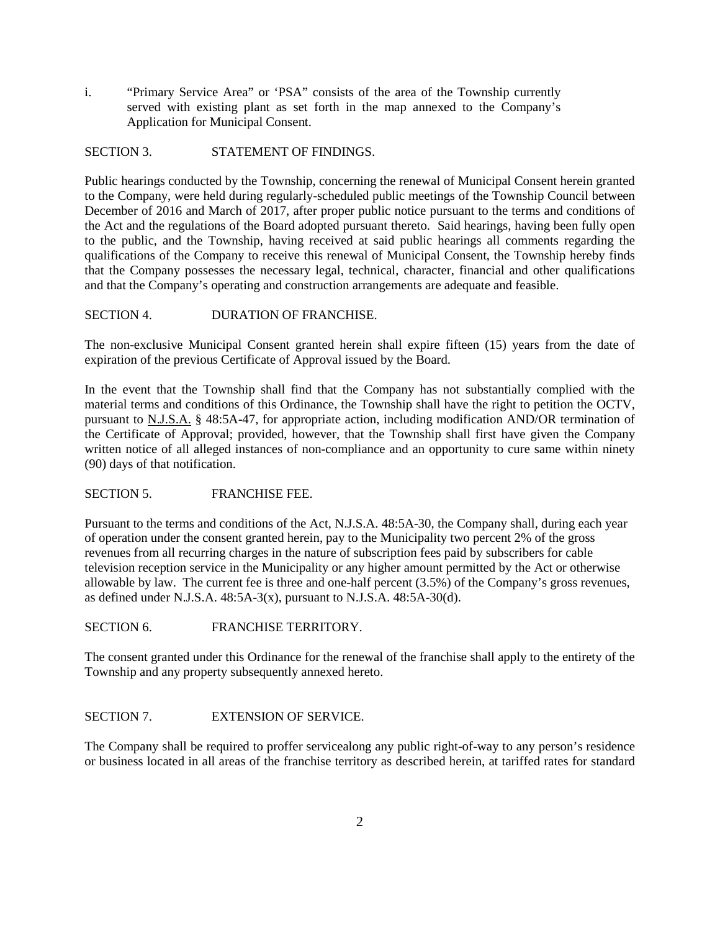i. "Primary Service Area" or 'PSA" consists of the area of the Township currently served with existing plant as set forth in the map annexed to the Company's Application for Municipal Consent.

#### SECTION 3. STATEMENT OF FINDINGS.

Public hearings conducted by the Township, concerning the renewal of Municipal Consent herein granted to the Company, were held during regularly-scheduled public meetings of the Township Council between December of 2016 and March of 2017, after proper public notice pursuant to the terms and conditions of the Act and the regulations of the Board adopted pursuant thereto. Said hearings, having been fully open to the public, and the Township, having received at said public hearings all comments regarding the qualifications of the Company to receive this renewal of Municipal Consent, the Township hereby finds that the Company possesses the necessary legal, technical, character, financial and other qualifications and that the Company's operating and construction arrangements are adequate and feasible.

#### SECTION 4. DURATION OF FRANCHISE.

The non-exclusive Municipal Consent granted herein shall expire fifteen (15) years from the date of expiration of the previous Certificate of Approval issued by the Board.

In the event that the Township shall find that the Company has not substantially complied with the material terms and conditions of this Ordinance, the Township shall have the right to petition the OCTV, pursuant to N.J.S.A. § 48:5A-47, for appropriate action, including modification AND/OR termination of the Certificate of Approval; provided, however, that the Township shall first have given the Company written notice of all alleged instances of non-compliance and an opportunity to cure same within ninety (90) days of that notification.

#### SECTION 5. FRANCHISE FEE.

Pursuant to the terms and conditions of the Act, N.J.S.A. 48:5A-30, the Company shall, during each year of operation under the consent granted herein, pay to the Municipality two percent 2% of the gross revenues from all recurring charges in the nature of subscription fees paid by subscribers for cable television reception service in the Municipality or any higher amount permitted by the Act or otherwise allowable by law. The current fee is three and one-half percent (3.5%) of the Company's gross revenues, as defined under N.J.S.A.  $48:5A-3(x)$ , pursuant to N.J.S.A.  $48:5A-30(d)$ .

#### SECTION 6. FRANCHISE TERRITORY.

The consent granted under this Ordinance for the renewal of the franchise shall apply to the entirety of the Township and any property subsequently annexed hereto.

#### SECTION 7. EXTENSION OF SERVICE.

The Company shall be required to proffer servicealong any public right-of-way to any person's residence or business located in all areas of the franchise territory as described herein, at tariffed rates for standard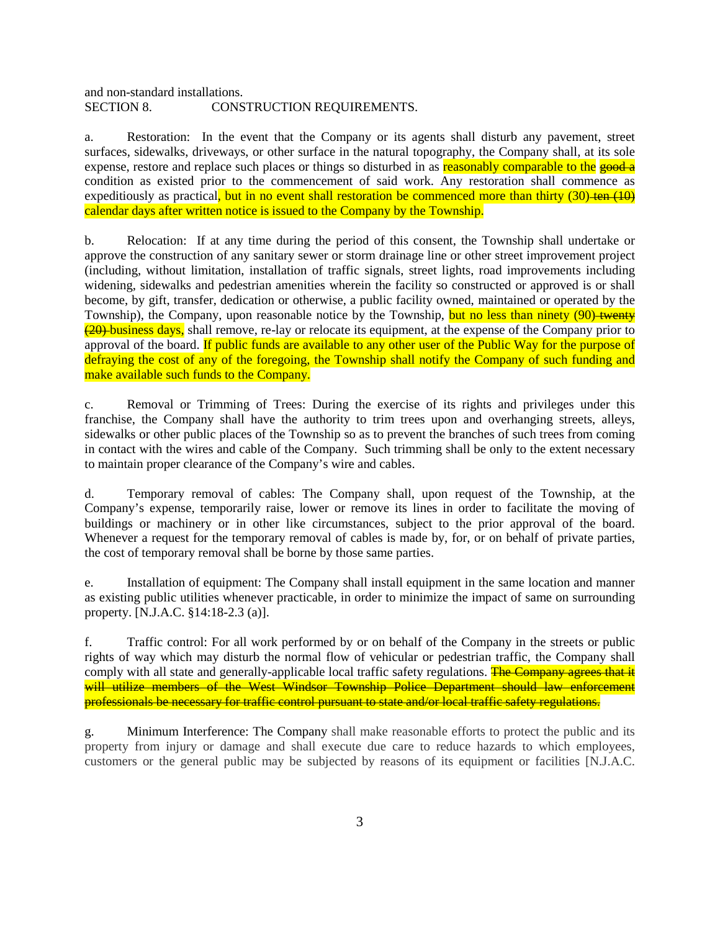and non-standard installations. SECTION 8. CONSTRUCTION REQUIREMENTS.

a. Restoration: In the event that the Company or its agents shall disturb any pavement, street surfaces, sidewalks, driveways, or other surface in the natural topography, the Company shall, at its sole expense, restore and replace such places or things so disturbed in as reasonably comparable to the good a condition as existed prior to the commencement of said work. Any restoration shall commence as expeditiously as practical, but in no event shall restoration be commenced more than thirty  $(30)$ -ten  $(10)$ calendar days after written notice is issued to the Company by the Township.

b. Relocation: If at any time during the period of this consent, the Township shall undertake or approve the construction of any sanitary sewer or storm drainage line or other street improvement project (including, without limitation, installation of traffic signals, street lights, road improvements including widening, sidewalks and pedestrian amenities wherein the facility so constructed or approved is or shall become, by gift, transfer, dedication or otherwise, a public facility owned, maintained or operated by the Township), the Company, upon reasonable notice by the Township, but no less than ninety (90) twenty (20) business days, shall remove, re-lay or relocate its equipment, at the expense of the Company prior to approval of the board. If public funds are available to any other user of the Public Way for the purpose of defraying the cost of any of the foregoing, the Township shall notify the Company of such funding and make available such funds to the Company.

c. Removal or Trimming of Trees: During the exercise of its rights and privileges under this franchise, the Company shall have the authority to trim trees upon and overhanging streets, alleys, sidewalks or other public places of the Township so as to prevent the branches of such trees from coming in contact with the wires and cable of the Company. Such trimming shall be only to the extent necessary to maintain proper clearance of the Company's wire and cables.

d. Temporary removal of cables: The Company shall, upon request of the Township, at the Company's expense, temporarily raise, lower or remove its lines in order to facilitate the moving of buildings or machinery or in other like circumstances, subject to the prior approval of the board. Whenever a request for the temporary removal of cables is made by, for, or on behalf of private parties, the cost of temporary removal shall be borne by those same parties.

e. Installation of equipment: The Company shall install equipment in the same location and manner as existing public utilities whenever practicable, in order to minimize the impact of same on surrounding property. [N.J.A.C. §14:18-2.3 (a)].

f. Traffic control: For all work performed by or on behalf of the Company in the streets or public rights of way which may disturb the normal flow of vehicular or pedestrian traffic, the Company shall comply with all state and generally-applicable local traffic safety regulations. The Company agrees that it will utilize members of the West Windsor Township Police Department should law enforcement professionals be necessary for traffic control pursuant to state and/or local traffic safety regulations.

g. Minimum Interference: The Company shall make reasonable efforts to protect the public and its property from injury or damage and shall execute due care to reduce hazards to which employees, customers or the general public may be subjected by reasons of its equipment or facilities [N.J.A.C.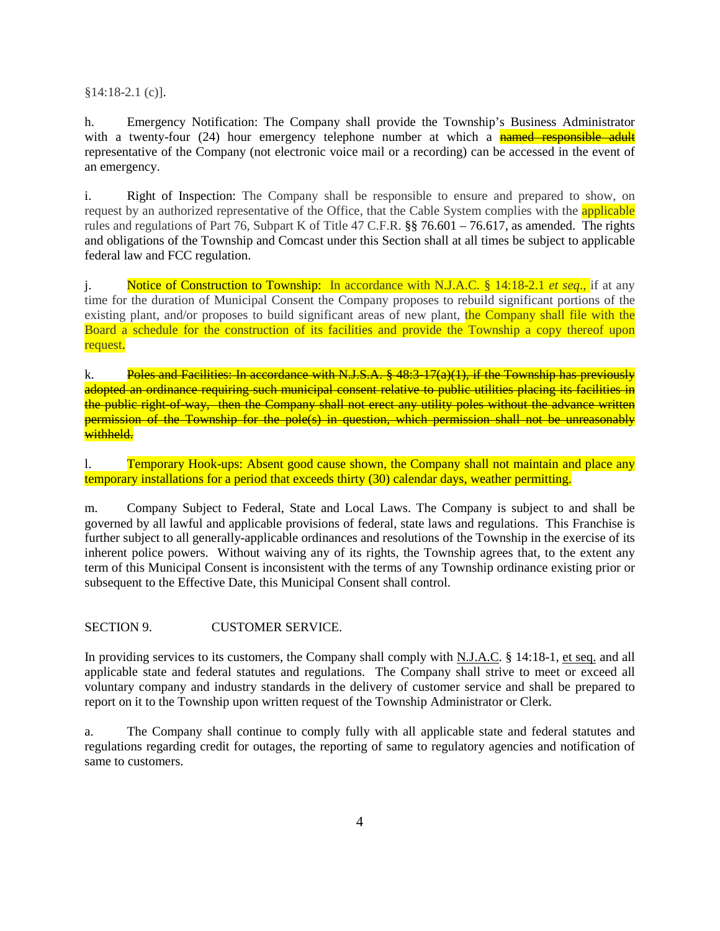§14:18-2.1 (c)].

h. Emergency Notification: The Company shall provide the Township's Business Administrator with a twenty-four (24) hour emergency telephone number at which a **named responsible adult** representative of the Company (not electronic voice mail or a recording) can be accessed in the event of an emergency.

i. Right of Inspection: The Company shall be responsible to ensure and prepared to show, on request by an authorized representative of the Office, that the Cable System complies with the applicable rules and regulations of Part 76, Subpart K of Title 47 C.F.R. §§ 76.601 – 76.617, as amended. The rights and obligations of the Township and Comcast under this Section shall at all times be subject to applicable federal law and FCC regulation.

j. Notice of Construction to Township: In accordance with N.J.A.C. § 14:18-2.1 *et seq*., if at any time for the duration of Municipal Consent the Company proposes to rebuild significant portions of the existing plant, and/or proposes to build significant areas of new plant, the Company shall file with the Board a schedule for the construction of its facilities and provide the Township a copy thereof upon request.

k. Poles and Facilities: In accordance with N.J.S.A.  $\frac{8}{3}$  48:3-17(a)(1), if the Township has previously adopted an ordinance requiring such municipal consent relative to public utilities placing its facilities in the public right-of-way, then the Company shall not erect any utility poles without the advance written permission of the Township for the pole(s) in question, which permission shall not be unreasonably withheld.

1. Temporary Hook-ups: Absent good cause shown, the Company shall not maintain and place any temporary installations for a period that exceeds thirty (30) calendar days, weather permitting.

m. Company Subject to Federal, State and Local Laws. The Company is subject to and shall be governed by all lawful and applicable provisions of federal, state laws and regulations. This Franchise is further subject to all generally-applicable ordinances and resolutions of the Township in the exercise of its inherent police powers. Without waiving any of its rights, the Township agrees that, to the extent any term of this Municipal Consent is inconsistent with the terms of any Township ordinance existing prior or subsequent to the Effective Date, this Municipal Consent shall control.

SECTION 9. CUSTOMER SERVICE.

In providing services to its customers, the Company shall comply with N.J.A.C. § 14:18-1, et seq. and all applicable state and federal statutes and regulations. The Company shall strive to meet or exceed all voluntary company and industry standards in the delivery of customer service and shall be prepared to report on it to the Township upon written request of the Township Administrator or Clerk.

a. The Company shall continue to comply fully with all applicable state and federal statutes and regulations regarding credit for outages, the reporting of same to regulatory agencies and notification of same to customers.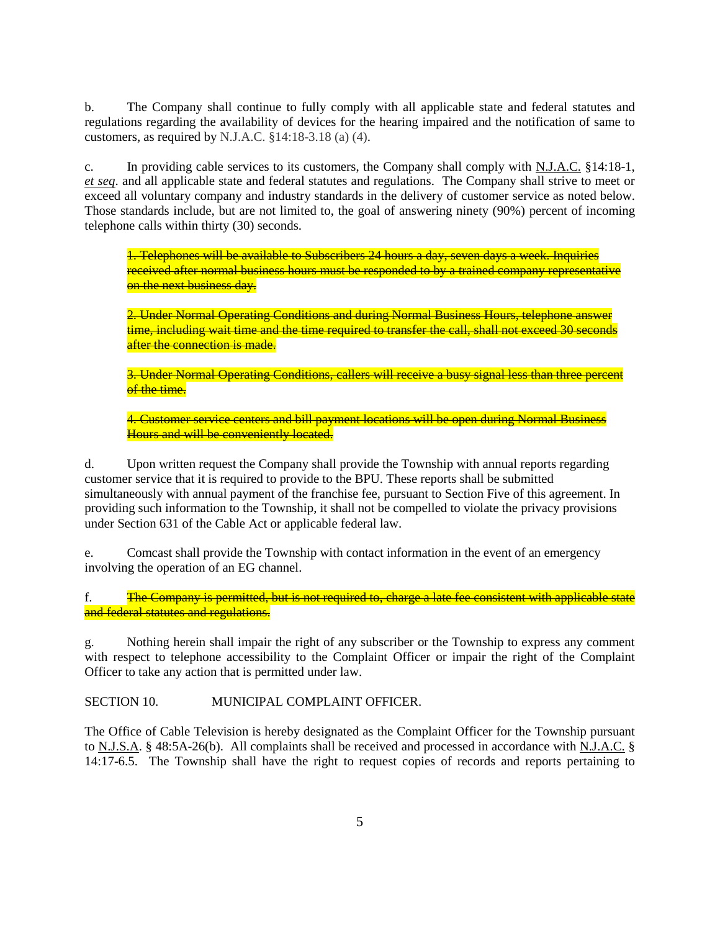b. The Company shall continue to fully comply with all applicable state and federal statutes and regulations regarding the availability of devices for the hearing impaired and the notification of same to customers, as required by N.J.A.C. §14:18-3.18 (a) (4).

c. In providing cable services to its customers, the Company shall comply with N.J.A.C. §14:18-1, *et seq*. and all applicable state and federal statutes and regulations. The Company shall strive to meet or exceed all voluntary company and industry standards in the delivery of customer service as noted below. Those standards include, but are not limited to, the goal of answering ninety (90%) percent of incoming telephone calls within thirty (30) seconds.

1. Telephones will be available to Subscribers 24 hours a day, seven days a week. Inquiries received after normal business hours must be responded to by a trained company representative on the next business day.

2. Under Normal Operating Conditions and during Normal Business Hours, telephone answer time, including wait time and the time required to transfer the call, shall not exceed 30 seconds after the connection is made.

3. Under Normal Operating Conditions, callers will receive a busy signal less than three percent of the time.

4. Customer service centers and bill payment locations will be open during Normal Business Hours and will be conveniently located.

d. Upon written request the Company shall provide the Township with annual reports regarding customer service that it is required to provide to the BPU. These reports shall be submitted simultaneously with annual payment of the franchise fee, pursuant to Section Five of this agreement. In providing such information to the Township, it shall not be compelled to violate the privacy provisions under Section 631 of the Cable Act or applicable federal law.

e. Comcast shall provide the Township with contact information in the event of an emergency involving the operation of an EG channel.

f. The Company is permitted, but is not required to, charge a late fee consistent with applicable state and federal statutes and regulations.

g. Nothing herein shall impair the right of any subscriber or the Township to express any comment with respect to telephone accessibility to the Complaint Officer or impair the right of the Complaint Officer to take any action that is permitted under law.

SECTION 10. MUNICIPAL COMPLAINT OFFICER.

The Office of Cable Television is hereby designated as the Complaint Officer for the Township pursuant to N.J.S.A. § 48:5A-26(b). All complaints shall be received and processed in accordance with N.J.A.C. § 14:17-6.5. The Township shall have the right to request copies of records and reports pertaining to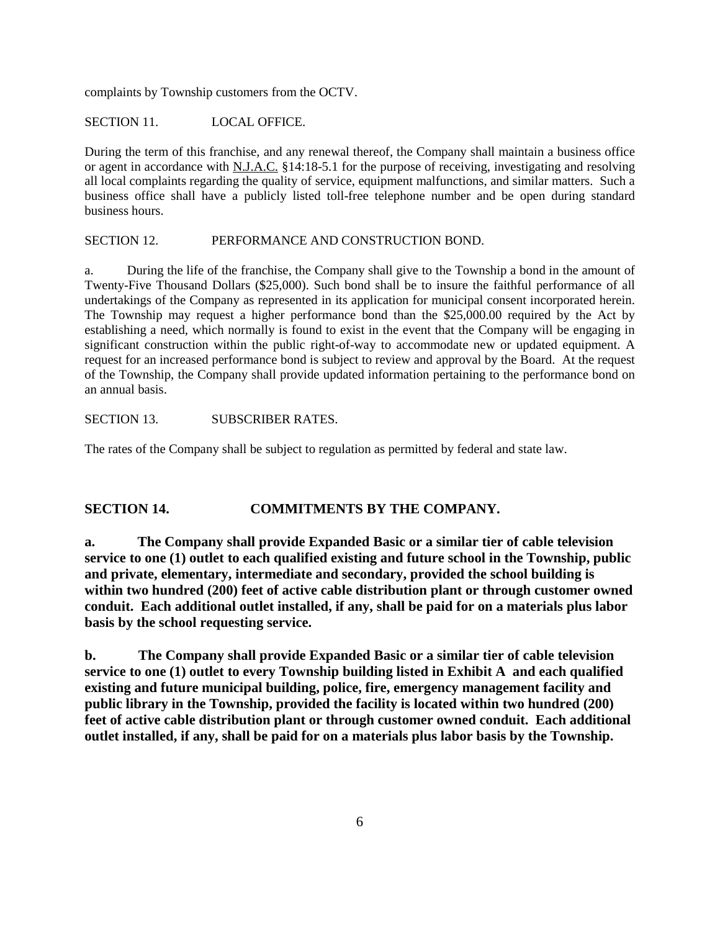complaints by Township customers from the OCTV.

SECTION 11. LOCAL OFFICE.

During the term of this franchise, and any renewal thereof, the Company shall maintain a business office or agent in accordance with N.J.A.C. §14:18-5.1 for the purpose of receiving, investigating and resolving all local complaints regarding the quality of service, equipment malfunctions, and similar matters. Such a business office shall have a publicly listed toll-free telephone number and be open during standard business hours.

SECTION 12. PERFORMANCE AND CONSTRUCTION BOND.

a. During the life of the franchise, the Company shall give to the Township a bond in the amount of Twenty-Five Thousand Dollars (\$25,000). Such bond shall be to insure the faithful performance of all undertakings of the Company as represented in its application for municipal consent incorporated herein. The Township may request a higher performance bond than the \$25,000.00 required by the Act by establishing a need, which normally is found to exist in the event that the Company will be engaging in significant construction within the public right-of-way to accommodate new or updated equipment. A request for an increased performance bond is subject to review and approval by the Board. At the request of the Township, the Company shall provide updated information pertaining to the performance bond on an annual basis.

#### SECTION 13. SUBSCRIBER RATES.

The rates of the Company shall be subject to regulation as permitted by federal and state law.

#### **SECTION 14. COMMITMENTS BY THE COMPANY.**

**a. The Company shall provide Expanded Basic or a similar tier of cable television service to one (1) outlet to each qualified existing and future school in the Township, public and private, elementary, intermediate and secondary, provided the school building is within two hundred (200) feet of active cable distribution plant or through customer owned conduit. Each additional outlet installed, if any, shall be paid for on a materials plus labor basis by the school requesting service.** 

**b. The Company shall provide Expanded Basic or a similar tier of cable television service to one (1) outlet to every Township building listed in Exhibit A and each qualified existing and future municipal building, police, fire, emergency management facility and public library in the Township, provided the facility is located within two hundred (200) feet of active cable distribution plant or through customer owned conduit. Each additional outlet installed, if any, shall be paid for on a materials plus labor basis by the Township.**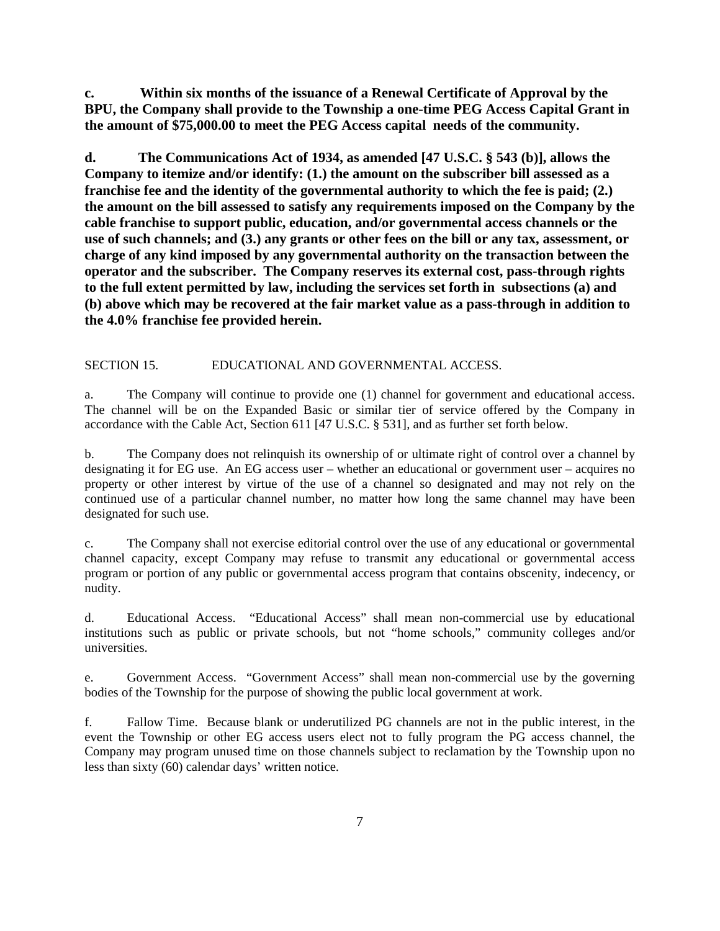**c. Within six months of the issuance of a Renewal Certificate of Approval by the BPU, the Company shall provide to the Township a one-time PEG Access Capital Grant in the amount of \$75,000.00 to meet the PEG Access capital needs of the community.** 

**d. The Communications Act of 1934, as amended [47 U.S.C. § 543 (b)], allows the Company to itemize and/or identify: (1.) the amount on the subscriber bill assessed as a franchise fee and the identity of the governmental authority to which the fee is paid; (2.) the amount on the bill assessed to satisfy any requirements imposed on the Company by the cable franchise to support public, education, and/or governmental access channels or the use of such channels; and (3.) any grants or other fees on the bill or any tax, assessment, or charge of any kind imposed by any governmental authority on the transaction between the operator and the subscriber. The Company reserves its external cost, pass-through rights to the full extent permitted by law, including the services set forth in subsections (a) and (b) above which may be recovered at the fair market value as a pass-through in addition to the 4.0% franchise fee provided herein.** 

#### SECTION 15. EDUCATIONAL AND GOVERNMENTAL ACCESS.

a. The Company will continue to provide one (1) channel for government and educational access. The channel will be on the Expanded Basic or similar tier of service offered by the Company in accordance with the Cable Act, Section 611 [47 U.S.C. § 531], and as further set forth below.

b. The Company does not relinquish its ownership of or ultimate right of control over a channel by designating it for EG use. An EG access user – whether an educational or government user – acquires no property or other interest by virtue of the use of a channel so designated and may not rely on the continued use of a particular channel number, no matter how long the same channel may have been designated for such use.

c. The Company shall not exercise editorial control over the use of any educational or governmental channel capacity, except Company may refuse to transmit any educational or governmental access program or portion of any public or governmental access program that contains obscenity, indecency, or nudity.

d. Educational Access. "Educational Access" shall mean non-commercial use by educational institutions such as public or private schools, but not "home schools," community colleges and/or universities.

e. Government Access. "Government Access" shall mean non-commercial use by the governing bodies of the Township for the purpose of showing the public local government at work.

f. Fallow Time. Because blank or underutilized PG channels are not in the public interest, in the event the Township or other EG access users elect not to fully program the PG access channel, the Company may program unused time on those channels subject to reclamation by the Township upon no less than sixty (60) calendar days' written notice.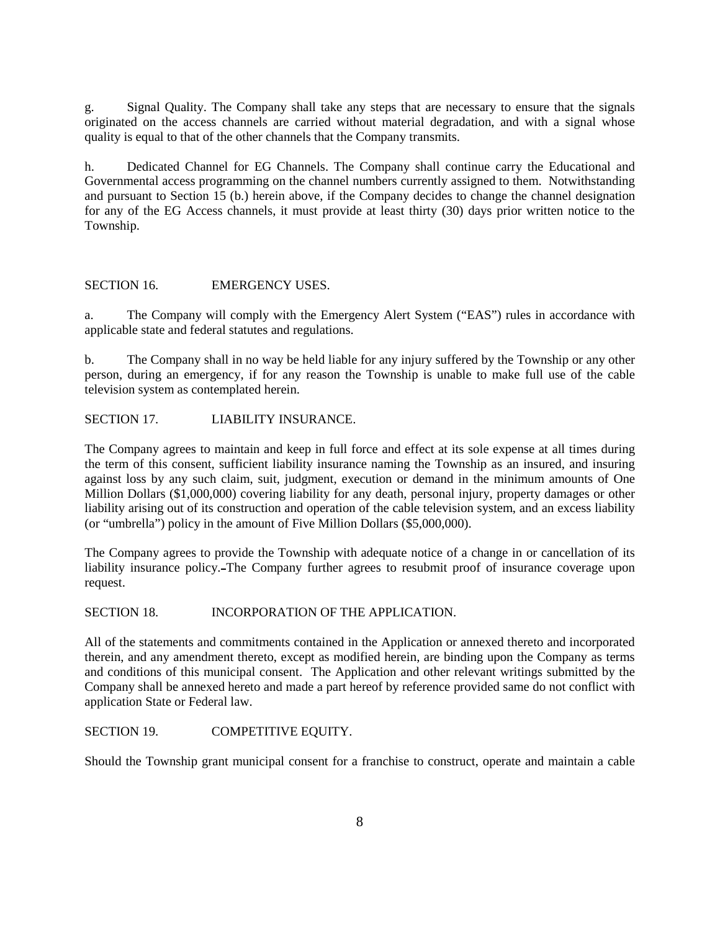g. Signal Quality. The Company shall take any steps that are necessary to ensure that the signals originated on the access channels are carried without material degradation, and with a signal whose quality is equal to that of the other channels that the Company transmits.

h. Dedicated Channel for EG Channels. The Company shall continue carry the Educational and Governmental access programming on the channel numbers currently assigned to them. Notwithstanding and pursuant to Section 15 (b.) herein above, if the Company decides to change the channel designation for any of the EG Access channels, it must provide at least thirty (30) days prior written notice to the Township.

#### SECTION 16. EMERGENCY USES.

a. The Company will comply with the Emergency Alert System ("EAS") rules in accordance with applicable state and federal statutes and regulations.

b. The Company shall in no way be held liable for any injury suffered by the Township or any other person, during an emergency, if for any reason the Township is unable to make full use of the cable television system as contemplated herein.

SECTION 17. LIABILITY INSURANCE.

The Company agrees to maintain and keep in full force and effect at its sole expense at all times during the term of this consent, sufficient liability insurance naming the Township as an insured, and insuring against loss by any such claim, suit, judgment, execution or demand in the minimum amounts of One Million Dollars (\$1,000,000) covering liability for any death, personal injury, property damages or other liability arising out of its construction and operation of the cable television system, and an excess liability (or "umbrella") policy in the amount of Five Million Dollars (\$5,000,000).

The Company agrees to provide the Township with adequate notice of a change in or cancellation of its liability insurance policy. The Company further agrees to resubmit proof of insurance coverage upon request.

#### SECTION 18. INCORPORATION OF THE APPLICATION.

All of the statements and commitments contained in the Application or annexed thereto and incorporated therein, and any amendment thereto, except as modified herein, are binding upon the Company as terms and conditions of this municipal consent. The Application and other relevant writings submitted by the Company shall be annexed hereto and made a part hereof by reference provided same do not conflict with application State or Federal law.

#### SECTION 19. COMPETITIVE EQUITY.

Should the Township grant municipal consent for a franchise to construct, operate and maintain a cable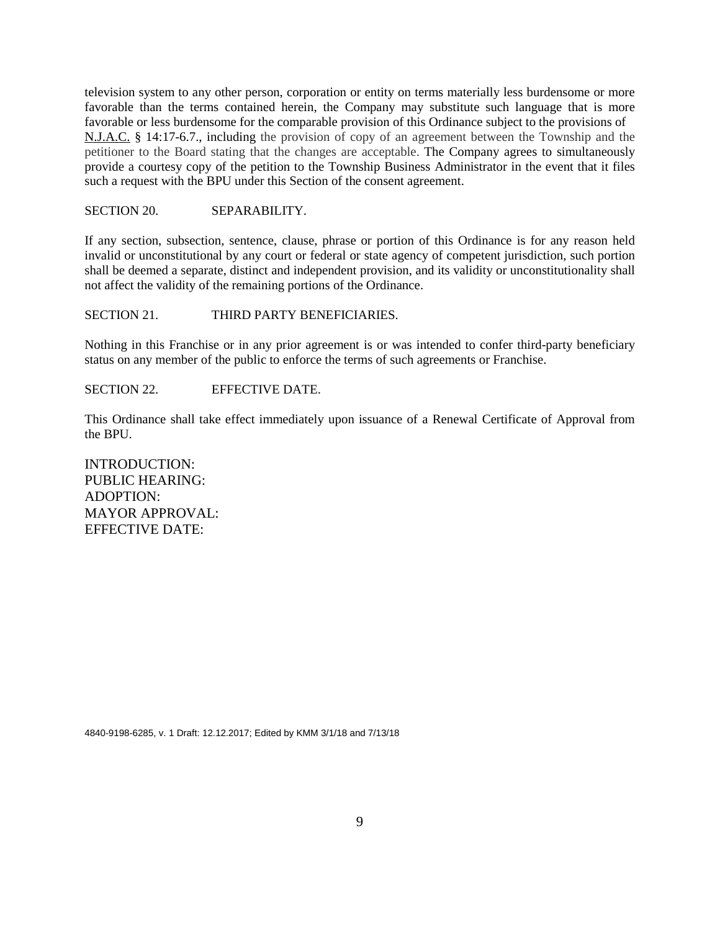television system to any other person, corporation or entity on terms materially less burdensome or more favorable than the terms contained herein, the Company may substitute such language that is more favorable or less burdensome for the comparable provision of this Ordinance subject to the provisions of N.J.A.C. § 14:17-6.7., including the provision of copy of an agreement between the Township and the petitioner to the Board stating that the changes are acceptable. The Company agrees to simultaneously provide a courtesy copy of the petition to the Township Business Administrator in the event that it files such a request with the BPU under this Section of the consent agreement.

SECTION 20. SEPARABILITY.

If any section, subsection, sentence, clause, phrase or portion of this Ordinance is for any reason held invalid or unconstitutional by any court or federal or state agency of competent jurisdiction, such portion shall be deemed a separate, distinct and independent provision, and its validity or unconstitutionality shall not affect the validity of the remaining portions of the Ordinance.

#### SECTION 21. THIRD PARTY BENEFICIARIES.

Nothing in this Franchise or in any prior agreement is or was intended to confer third-party beneficiary status on any member of the public to enforce the terms of such agreements or Franchise.

SECTION 22. EFFECTIVE DATE.

This Ordinance shall take effect immediately upon issuance of a Renewal Certificate of Approval from the BPU.

INTRODUCTION: PUBLIC HEARING: ADOPTION: MAYOR APPROVAL: EFFECTIVE DATE:

4840-9198-6285, v. 1 Draft: 12.12.2017; Edited by KMM 3/1/18 and 7/13/18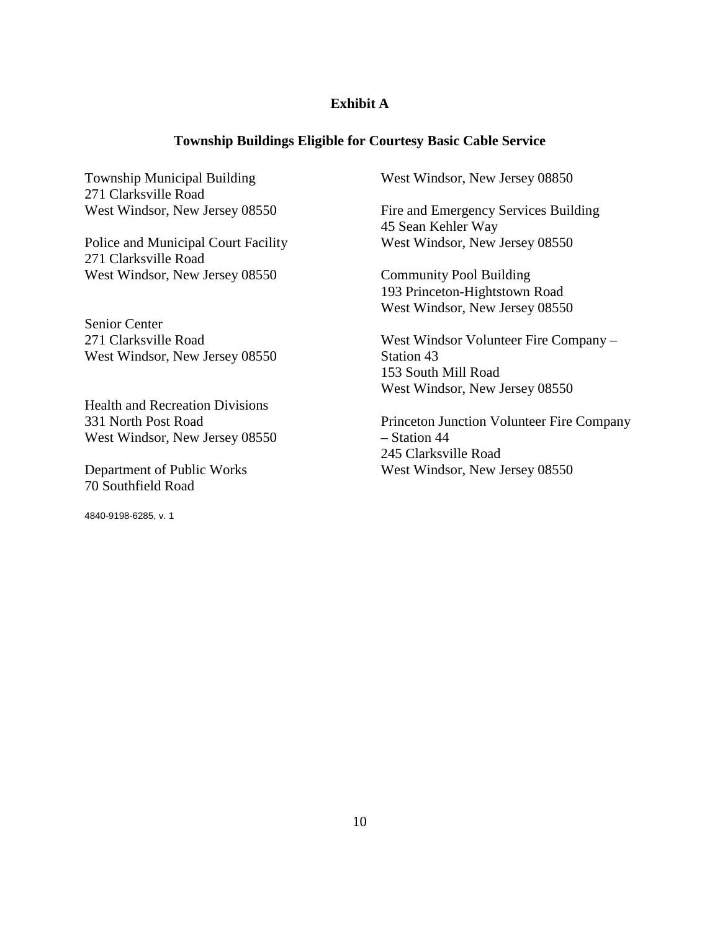### **Exhibit A**

#### **Township Buildings Eligible for Courtesy Basic Cable Service**

Township Municipal Building 271 Clarksville Road West Windsor, New Jersey 08550

Police and Municipal Court Facility 271 Clarksville Road West Windsor, New Jersey 08550

Senior Center 271 Clarksville Road West Windsor, New Jersey 08550

Health and Recreation Divisions 331 North Post Road West Windsor, New Jersey 08550

Department of Public Works 70 Southfield Road

4840-9198-6285, v. 1

West Windsor, New Jersey 08850

Fire and Emergency Services Building 45 Sean Kehler Way West Windsor, New Jersey 08550

Community Pool Building 193 Princeton-Hightstown Road West Windsor, New Jersey 08550

West Windsor Volunteer Fire Company – Station 43 153 South Mill Road West Windsor, New Jersey 08550

Princeton Junction Volunteer Fire Company – Station 44 245 Clarksville Road West Windsor, New Jersey 08550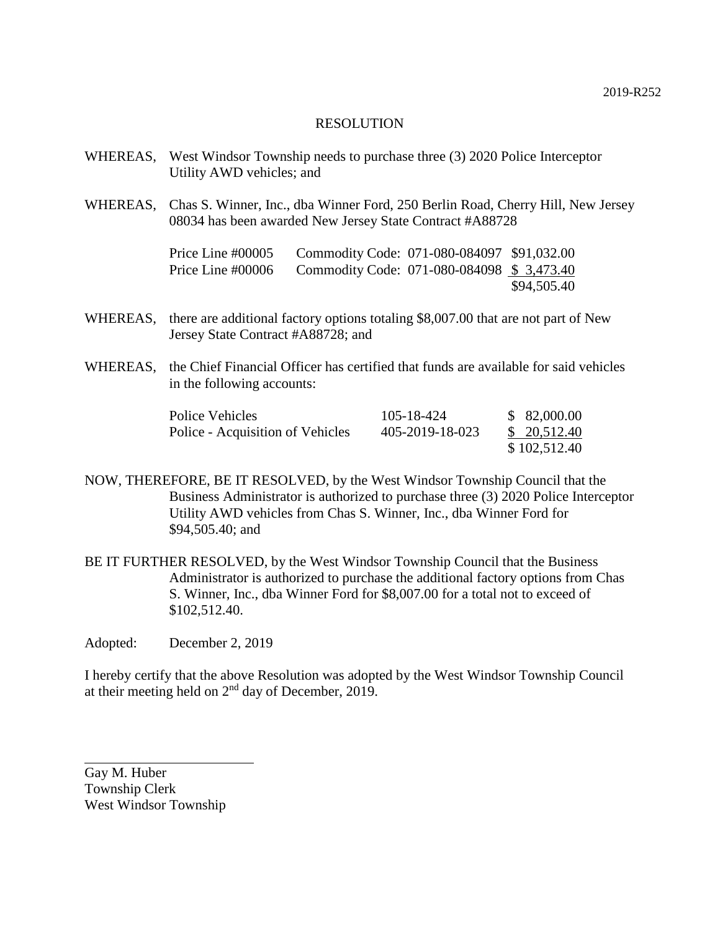- WHEREAS, West Windsor Township needs to purchase three (3) 2020 Police Interceptor Utility AWD vehicles; and
- WHEREAS, Chas S. Winner, Inc., dba Winner Ford, 250 Berlin Road, Cherry Hill, New Jersey 08034 has been awarded New Jersey State Contract #A88728

| Price Line #00005 | Commodity Code: 071-080-084097 \$91,032.00 |             |
|-------------------|--------------------------------------------|-------------|
| Price Line #00006 | Commodity Code: 071-080-084098 \$3,473.40  |             |
|                   |                                            | \$94,505.40 |

- WHEREAS, there are additional factory options totaling \$8,007.00 that are not part of New Jersey State Contract #A88728; and
- WHEREAS, the Chief Financial Officer has certified that funds are available for said vehicles in the following accounts:

| Police Vehicles                  | 105-18-424      | \$82,000.00  |
|----------------------------------|-----------------|--------------|
| Police - Acquisition of Vehicles | 405-2019-18-023 | \$20,512.40  |
|                                  |                 | \$102,512.40 |

- NOW, THEREFORE, BE IT RESOLVED, by the West Windsor Township Council that the Business Administrator is authorized to purchase three (3) 2020 Police Interceptor Utility AWD vehicles from Chas S. Winner, Inc., dba Winner Ford for \$94,505.40; and
- BE IT FURTHER RESOLVED, by the West Windsor Township Council that the Business Administrator is authorized to purchase the additional factory options from Chas S. Winner, Inc., dba Winner Ford for \$8,007.00 for a total not to exceed of \$102,512.40.
- Adopted: December 2, 2019

I hereby certify that the above Resolution was adopted by the West Windsor Township Council at their meeting held on  $2<sup>nd</sup>$  day of December, 2019.

Gay M. Huber Township Clerk West Windsor Township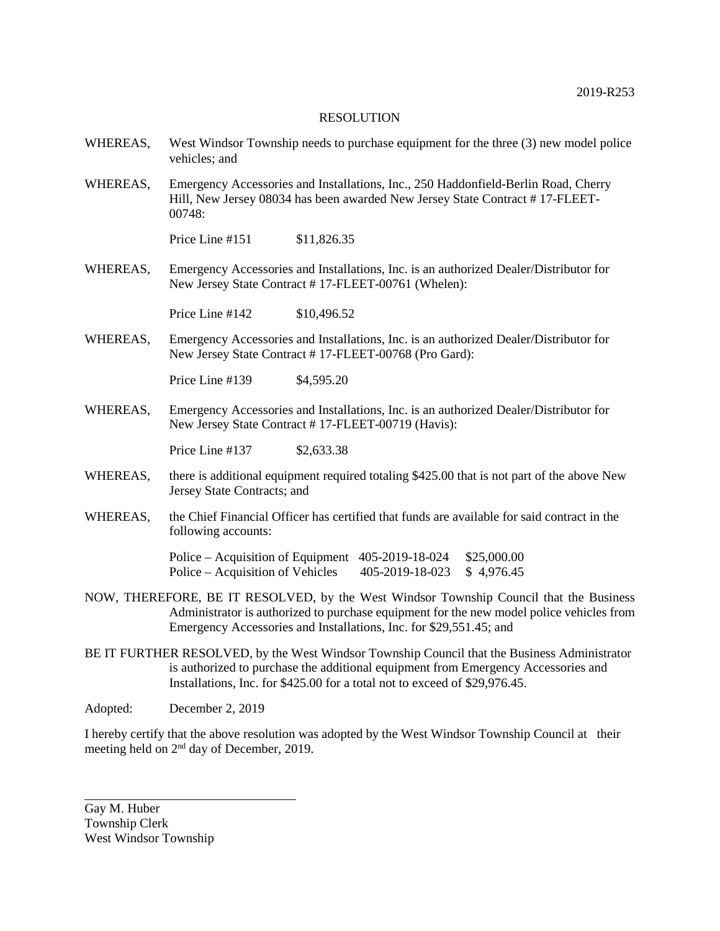- WHEREAS, West Windsor Township needs to purchase equipment for the three (3) new model police vehicles; and
- WHEREAS, Emergency Accessories and Installations, Inc., 250 Haddonfield-Berlin Road, Cherry Hill, New Jersey 08034 has been awarded New Jersey State Contract # 17-FLEET-00748:

Price Line #151 \$11,826.35

WHEREAS, Emergency Accessories and Installations, Inc. is an authorized Dealer/Distributor for New Jersey State Contract # 17-FLEET-00761 (Whelen):

Price Line #142 \$10,496.52

WHEREAS, Emergency Accessories and Installations, Inc. is an authorized Dealer/Distributor for New Jersey State Contract # 17-FLEET-00768 (Pro Gard):

Price Line #139 \$4,595.20

WHEREAS, Emergency Accessories and Installations, Inc. is an authorized Dealer/Distributor for New Jersey State Contract # 17-FLEET-00719 (Havis):

Price Line #137 \$2,633.38

- WHEREAS, there is additional equipment required totaling \$425.00 that is not part of the above New Jersey State Contracts; and
- WHEREAS, the Chief Financial Officer has certified that funds are available for said contract in the following accounts:

Police – Acquisition of Equipment 405-2019-18-024 \$25,000.00 Police – Acquisition of Vehicles 405-2019-18-023 \$4,976.45

- NOW, THEREFORE, BE IT RESOLVED, by the West Windsor Township Council that the Business Administrator is authorized to purchase equipment for the new model police vehicles from Emergency Accessories and Installations, Inc. for \$29,551.45; and
- BE IT FURTHER RESOLVED, by the West Windsor Township Council that the Business Administrator is authorized to purchase the additional equipment from Emergency Accessories and Installations, Inc. for \$425.00 for a total not to exceed of \$29,976.45.

Adopted: December 2, 2019

I hereby certify that the above resolution was adopted by the West Windsor Township Council at their meeting held on 2nd day of December, 2019.

Gay M. Huber Township Clerk West Windsor Township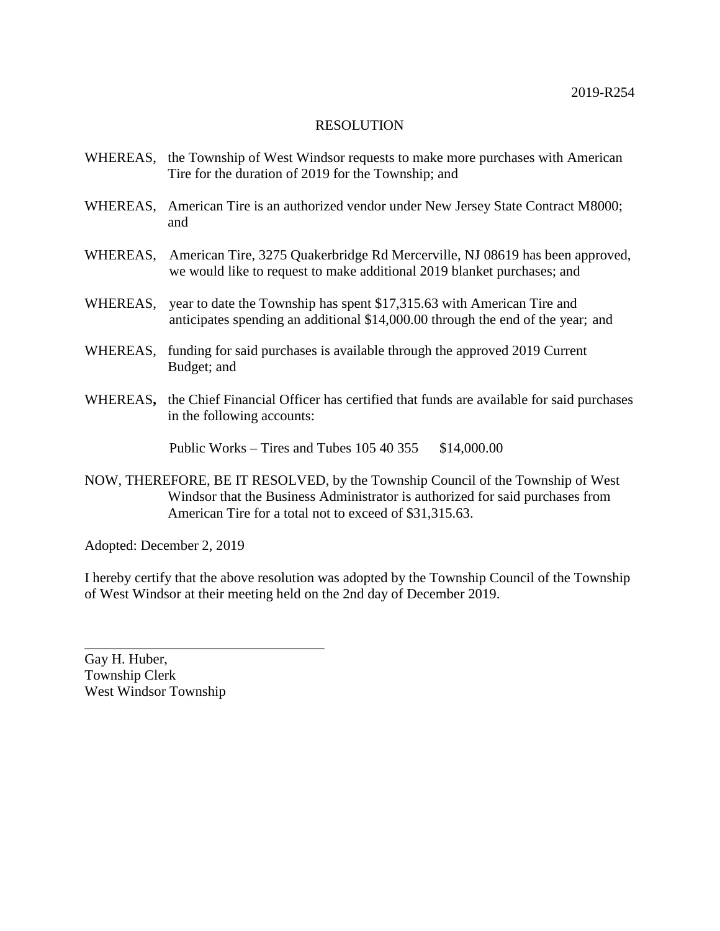- WHEREAS, the Township of West Windsor requests to make more purchases with American Tire for the duration of 2019 for the Township; and
- WHEREAS, American Tire is an authorized vendor under New Jersey State Contract M8000; and
- WHEREAS, American Tire, 3275 Quakerbridge Rd Mercerville, NJ 08619 has been approved, we would like to request to make additional 2019 blanket purchases; and
- WHEREAS, year to date the Township has spent \$17,315.63 with American Tire and anticipates spending an additional \$14,000.00 through the end of the year; and
- WHEREAS, funding for said purchases is available through the approved 2019 Current Budget; and
- WHEREAS**,** the Chief Financial Officer has certified that funds are available for said purchases in the following accounts:

Public Works – Tires and Tubes  $105\,40\,355$  \$14,000.00

NOW, THEREFORE, BE IT RESOLVED, by the Township Council of the Township of West Windsor that the Business Administrator is authorized for said purchases from American Tire for a total not to exceed of \$31,315.63.

Adopted: December 2, 2019

I hereby certify that the above resolution was adopted by the Township Council of the Township of West Windsor at their meeting held on the 2nd day of December 2019.

Gay H. Huber, Township Clerk West Windsor Township

\_\_\_\_\_\_\_\_\_\_\_\_\_\_\_\_\_\_\_\_\_\_\_\_\_\_\_\_\_\_\_\_\_\_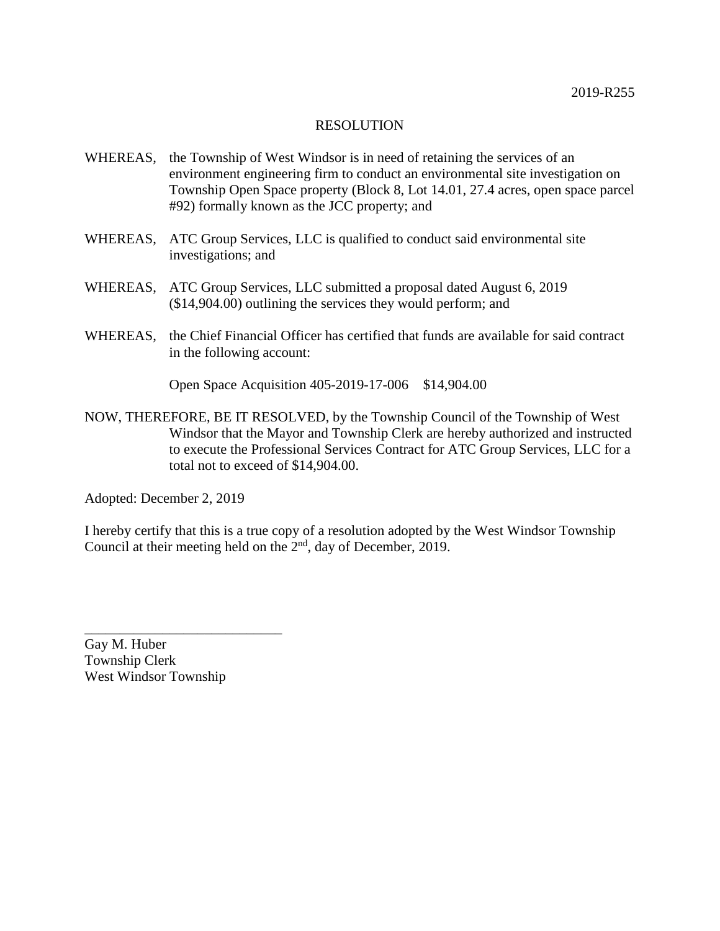- WHEREAS, the Township of West Windsor is in need of retaining the services of an environment engineering firm to conduct an environmental site investigation on Township Open Space property (Block 8, Lot 14.01, 27.4 acres, open space parcel #92) formally known as the JCC property; and
- WHEREAS, ATC Group Services, LLC is qualified to conduct said environmental site investigations; and
- WHEREAS, ATC Group Services, LLC submitted a proposal dated August 6, 2019 (\$14,904.00) outlining the services they would perform; and
- WHEREAS, the Chief Financial Officer has certified that funds are available for said contract in the following account:

Open Space Acquisition 405-2019-17-006 \$14,904.00

NOW, THEREFORE, BE IT RESOLVED, by the Township Council of the Township of West Windsor that the Mayor and Township Clerk are hereby authorized and instructed to execute the Professional Services Contract for ATC Group Services, LLC for a total not to exceed of \$14,904.00.

Adopted: December 2, 2019

I hereby certify that this is a true copy of a resolution adopted by the West Windsor Township Council at their meeting held on the 2<sup>nd</sup>, day of December, 2019.

Gay M. Huber Township Clerk West Windsor Township

\_\_\_\_\_\_\_\_\_\_\_\_\_\_\_\_\_\_\_\_\_\_\_\_\_\_\_\_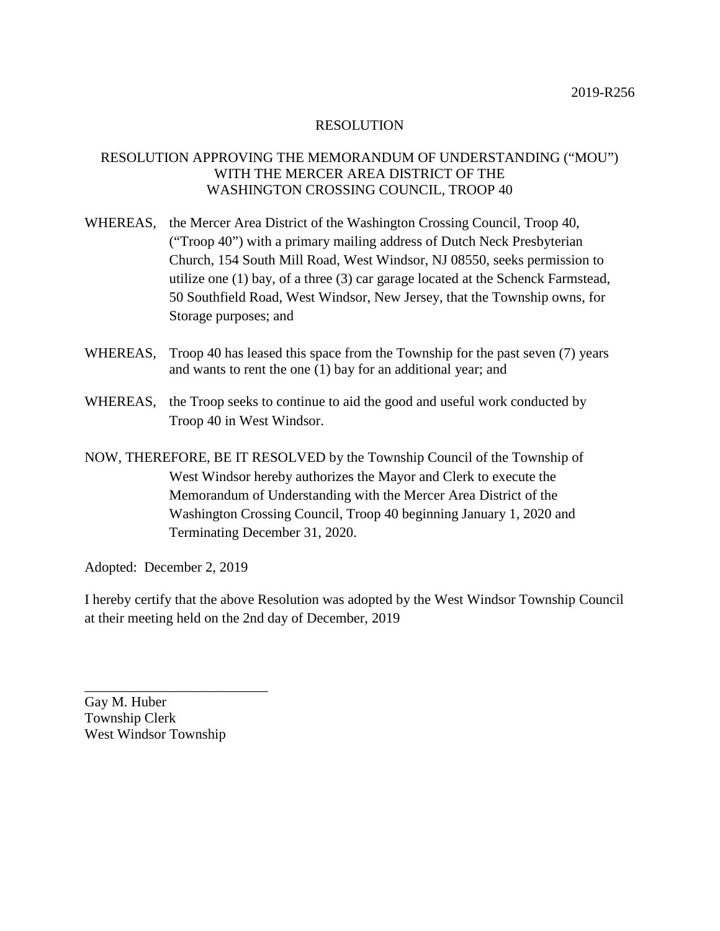### RESOLUTION APPROVING THE MEMORANDUM OF UNDERSTANDING ("MOU") WITH THE MERCER AREA DISTRICT OF THE WASHINGTON CROSSING COUNCIL, TROOP 40

- WHEREAS, the Mercer Area District of the Washington Crossing Council, Troop 40, ("Troop 40") with a primary mailing address of Dutch Neck Presbyterian Church, 154 South Mill Road, West Windsor, NJ 08550, seeks permission to utilize one (1) bay, of a three (3) car garage located at the Schenck Farmstead, 50 Southfield Road, West Windsor, New Jersey, that the Township owns, for Storage purposes; and
- WHEREAS, Troop 40 has leased this space from the Township for the past seven (7) years and wants to rent the one (1) bay for an additional year; and
- WHEREAS, the Troop seeks to continue to aid the good and useful work conducted by Troop 40 in West Windsor.
- NOW, THEREFORE, BE IT RESOLVED by the Township Council of the Township of West Windsor hereby authorizes the Mayor and Clerk to execute the Memorandum of Understanding with the Mercer Area District of the Washington Crossing Council, Troop 40 beginning January 1, 2020 and Terminating December 31, 2020.

Adopted: December 2, 2019

I hereby certify that the above Resolution was adopted by the West Windsor Township Council at their meeting held on the 2nd day of December, 2019

Gay M. Huber Township Clerk West Windsor Township

\_\_\_\_\_\_\_\_\_\_\_\_\_\_\_\_\_\_\_\_\_\_\_\_\_\_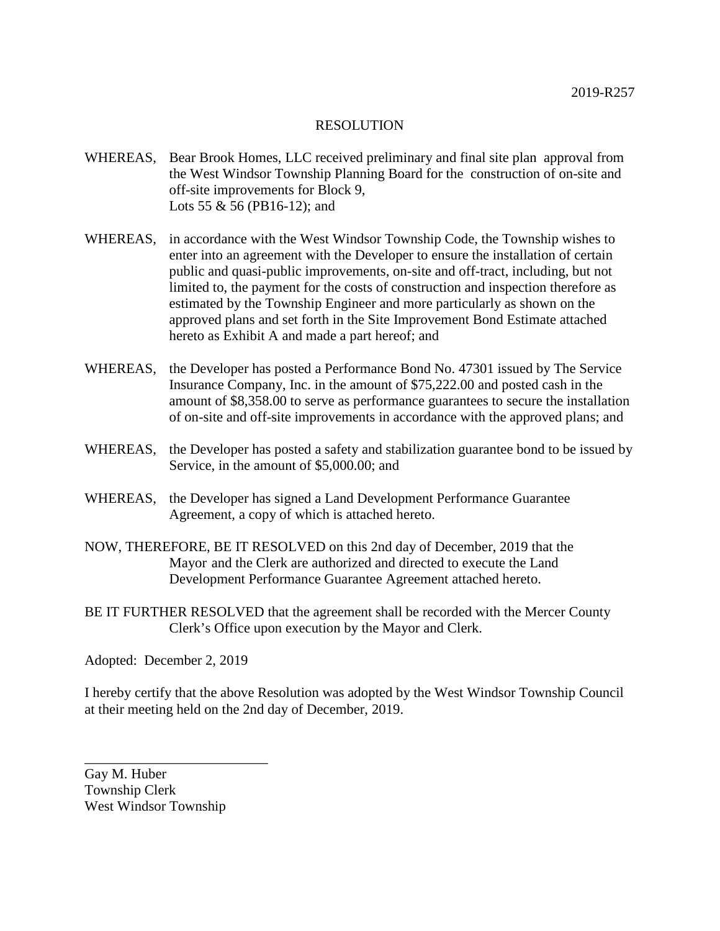- WHEREAS, Bear Brook Homes, LLC received preliminary and final site plan approval from the West Windsor Township Planning Board for the construction of on-site and off-site improvements for Block 9, Lots 55 & 56 (PB16-12); and
- WHEREAS, in accordance with the West Windsor Township Code, the Township wishes to enter into an agreement with the Developer to ensure the installation of certain public and quasi-public improvements, on-site and off-tract, including, but not limited to, the payment for the costs of construction and inspection therefore as estimated by the Township Engineer and more particularly as shown on the approved plans and set forth in the Site Improvement Bond Estimate attached hereto as Exhibit A and made a part hereof; and
- WHEREAS, the Developer has posted a Performance Bond No. 47301 issued by The Service Insurance Company, Inc. in the amount of \$75,222.00 and posted cash in the amount of \$8,358.00 to serve as performance guarantees to secure the installation of on-site and off-site improvements in accordance with the approved plans; and
- WHEREAS, the Developer has posted a safety and stabilization guarantee bond to be issued by Service, in the amount of \$5,000.00; and
- WHEREAS, the Developer has signed a Land Development Performance Guarantee Agreement, a copy of which is attached hereto.
- NOW, THEREFORE, BE IT RESOLVED on this 2nd day of December, 2019 that the Mayor and the Clerk are authorized and directed to execute the Land Development Performance Guarantee Agreement attached hereto.
- BE IT FURTHER RESOLVED that the agreement shall be recorded with the Mercer County Clerk's Office upon execution by the Mayor and Clerk.

Adopted: December 2, 2019

I hereby certify that the above Resolution was adopted by the West Windsor Township Council at their meeting held on the 2nd day of December, 2019.

Gay M. Huber Township Clerk West Windsor Township

\_\_\_\_\_\_\_\_\_\_\_\_\_\_\_\_\_\_\_\_\_\_\_\_\_\_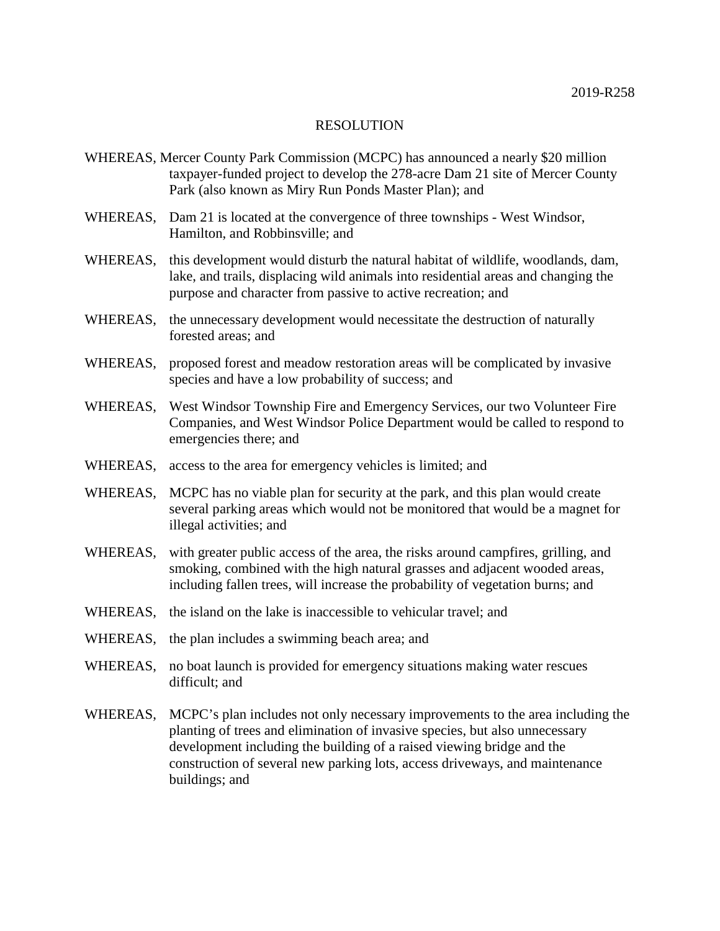- WHEREAS, Mercer County Park Commission (MCPC) has announced a nearly \$20 million taxpayer-funded project to develop the 278-acre Dam 21 site of Mercer County Park (also known as Miry Run Ponds Master Plan); and
- WHEREAS, Dam 21 is located at the convergence of three townships West Windsor, Hamilton, and Robbinsville; and
- WHEREAS, this development would disturb the natural habitat of wildlife, woodlands, dam, lake, and trails, displacing wild animals into residential areas and changing the purpose and character from passive to active recreation; and
- WHEREAS, the unnecessary development would necessitate the destruction of naturally forested areas; and
- WHEREAS, proposed forest and meadow restoration areas will be complicated by invasive species and have a low probability of success; and
- WHEREAS, West Windsor Township Fire and Emergency Services, our two Volunteer Fire Companies, and West Windsor Police Department would be called to respond to emergencies there; and
- WHEREAS, access to the area for emergency vehicles is limited; and
- WHEREAS, MCPC has no viable plan for security at the park, and this plan would create several parking areas which would not be monitored that would be a magnet for illegal activities; and
- WHEREAS, with greater public access of the area, the risks around campfires, grilling, and smoking, combined with the high natural grasses and adjacent wooded areas, including fallen trees, will increase the probability of vegetation burns; and
- WHEREAS, the island on the lake is inaccessible to vehicular travel; and
- WHEREAS, the plan includes a swimming beach area; and
- WHEREAS, no boat launch is provided for emergency situations making water rescues difficult; and
- WHEREAS, MCPC's plan includes not only necessary improvements to the area including the planting of trees and elimination of invasive species, but also unnecessary development including the building of a raised viewing bridge and the construction of several new parking lots, access driveways, and maintenance buildings; and